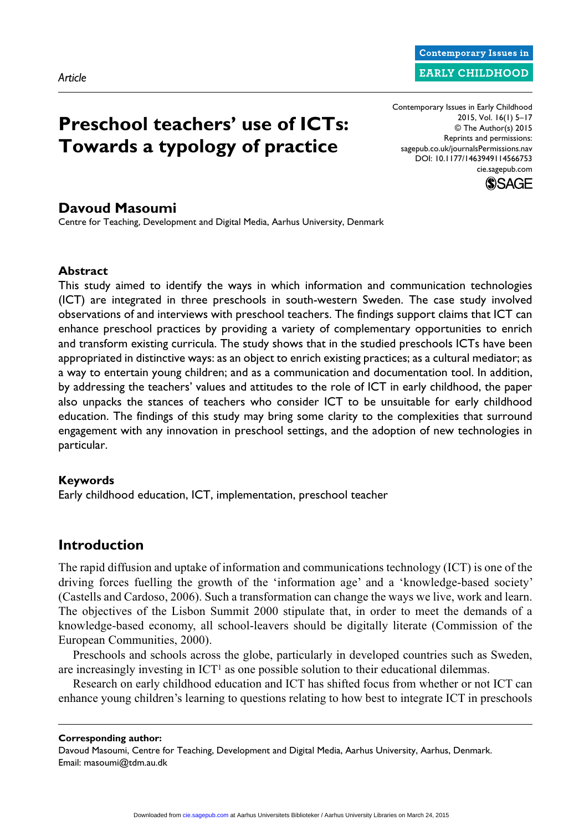# **Preschool teachers' use of ICTs: Towards a typology of practice**

Contemporary Issues in Early Childhood 2015, Vol. 16(1) 5–17 © The Author(s) 2015 Reprints and permissions: sagepub.co.uk/journalsPermissions.nav DOI: 10.1177/1463949114566753 cie.sagepub.com

**Contemporary Issues in EARLY CHILDHOOD** 



### **Davoud Masoumi**

Centre for Teaching, Development and Digital Media, Aarhus University, Denmark

### **Abstract**

This study aimed to identify the ways in which information and communication technologies (ICT) are integrated in three preschools in south-western Sweden. The case study involved observations of and interviews with preschool teachers. The findings support claims that ICT can enhance preschool practices by providing a variety of complementary opportunities to enrich and transform existing curricula. The study shows that in the studied preschools ICTs have been appropriated in distinctive ways: as an object to enrich existing practices; as a cultural mediator; as a way to entertain young children; and as a communication and documentation tool. In addition, by addressing the teachers' values and attitudes to the role of ICT in early childhood, the paper also unpacks the stances of teachers who consider ICT to be unsuitable for early childhood education. The findings of this study may bring some clarity to the complexities that surround engagement with any innovation in preschool settings, and the adoption of new technologies in particular.

### **Keywords**

Early childhood education, ICT, implementation, preschool teacher

# **Introduction**

The rapid diffusion and uptake of information and communications technology (ICT) is one of the driving forces fuelling the growth of the 'information age' and a 'knowledge-based society' (Castells and Cardoso, 2006). Such a transformation can change the ways we live, work and learn. The objectives of the Lisbon Summit 2000 stipulate that, in order to meet the demands of a knowledge-based economy, all school-leavers should be digitally literate (Commission of the European Communities, 2000).

Preschools and schools across the globe, particularly in developed countries such as Sweden, are increasingly investing in  $ICT<sup>1</sup>$  as one possible solution to their educational dilemmas.

Research on early childhood education and ICT has shifted focus from whether or not ICT can enhance young children's learning to questions relating to how best to integrate ICT in preschools

#### **Corresponding author:**

Davoud Masoumi, Centre for Teaching, Development and Digital Media, Aarhus University, Aarhus, Denmark. Email: [masoumi@tdm.au.dk](mailto:masoumi@tdm.au.dk)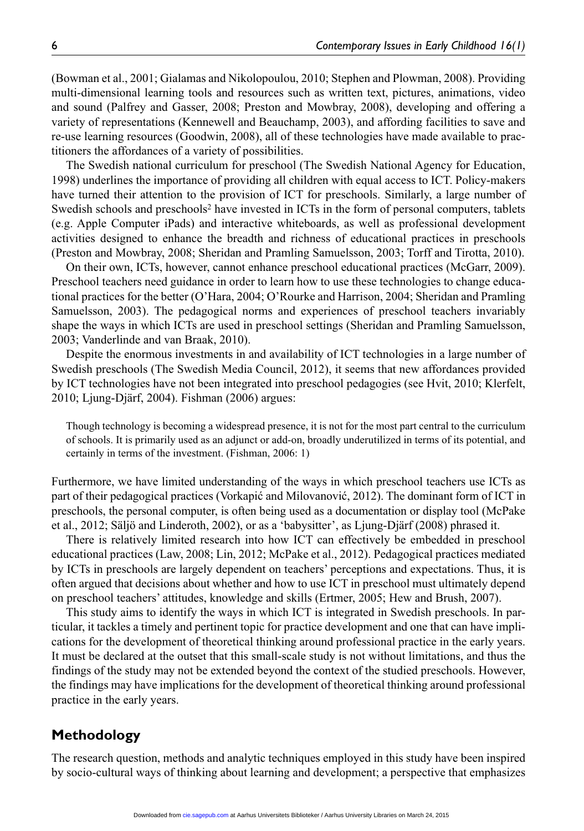(Bowman et al., 2001; Gialamas and Nikolopoulou, 2010; Stephen and Plowman, 2008). Providing multi-dimensional learning tools and resources such as written text, pictures, animations, video and sound (Palfrey and Gasser, 2008; Preston and Mowbray, 2008), developing and offering a variety of representations (Kennewell and Beauchamp, 2003), and affording facilities to save and re-use learning resources (Goodwin, 2008), all of these technologies have made available to practitioners the affordances of a variety of possibilities.

The Swedish national curriculum for preschool (The Swedish National Agency for Education, 1998) underlines the importance of providing all children with equal access to ICT. Policy-makers have turned their attention to the provision of ICT for preschools. Similarly, a large number of Swedish schools and preschools2 have invested in ICTs in the form of personal computers, tablets (e.g. Apple Computer iPads) and interactive whiteboards, as well as professional development activities designed to enhance the breadth and richness of educational practices in preschools (Preston and Mowbray, 2008; Sheridan and Pramling Samuelsson, 2003; Torff and Tirotta, 2010).

On their own, ICTs, however, cannot enhance preschool educational practices (McGarr, 2009). Preschool teachers need guidance in order to learn how to use these technologies to change educational practices for the better (O'Hara, 2004; O'Rourke and Harrison, 2004; Sheridan and Pramling Samuelsson, 2003). The pedagogical norms and experiences of preschool teachers invariably shape the ways in which ICTs are used in preschool settings (Sheridan and Pramling Samuelsson, 2003; Vanderlinde and van Braak, 2010).

Despite the enormous investments in and availability of ICT technologies in a large number of Swedish preschools (The Swedish Media Council, 2012), it seems that new affordances provided by ICT technologies have not been integrated into preschool pedagogies (see Hvit, 2010; Klerfelt, 2010; Ljung-Djärf, 2004). Fishman (2006) argues:

Though technology is becoming a widespread presence, it is not for the most part central to the curriculum of schools. It is primarily used as an adjunct or add-on, broadly underutilized in terms of its potential, and certainly in terms of the investment. (Fishman, 2006: 1)

Furthermore, we have limited understanding of the ways in which preschool teachers use ICTs as part of their pedagogical practices (Vorkapić and Milovanović, 2012). The dominant form of ICT in preschools, the personal computer, is often being used as a documentation or display tool (McPake et al., 2012; Säljö and Linderoth, 2002), or as a 'babysitter', as Ljung-Djärf (2008) phrased it.

There is relatively limited research into how ICT can effectively be embedded in preschool educational practices (Law, 2008; Lin, 2012; McPake et al., 2012). Pedagogical practices mediated by ICTs in preschools are largely dependent on teachers' perceptions and expectations. Thus, it is often argued that decisions about whether and how to use ICT in preschool must ultimately depend on preschool teachers' attitudes, knowledge and skills (Ertmer, 2005; Hew and Brush, 2007).

This study aims to identify the ways in which ICT is integrated in Swedish preschools. In particular, it tackles a timely and pertinent topic for practice development and one that can have implications for the development of theoretical thinking around professional practice in the early years. It must be declared at the outset that this small-scale study is not without limitations, and thus the findings of the study may not be extended beyond the context of the studied preschools. However, the findings may have implications for the development of theoretical thinking around professional practice in the early years.

# **Methodology**

The research question, methods and analytic techniques employed in this study have been inspired by socio-cultural ways of thinking about learning and development; a perspective that emphasizes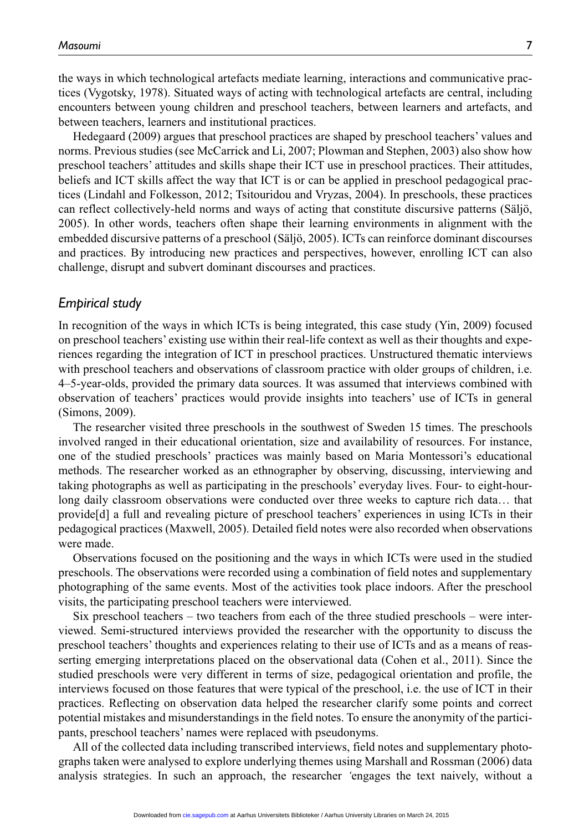the ways in which technological artefacts mediate learning, interactions and communicative practices (Vygotsky, 1978). Situated ways of acting with technological artefacts are central, including encounters between young children and preschool teachers, between learners and artefacts, and between teachers, learners and institutional practices.

Hedegaard (2009) argues that preschool practices are shaped by preschool teachers' values and norms. Previous studies (see McCarrick and Li, 2007; Plowman and Stephen, 2003) also show how preschool teachers' attitudes and skills shape their ICT use in preschool practices. Their attitudes, beliefs and ICT skills affect the way that ICT is or can be applied in preschool pedagogical practices (Lindahl and Folkesson, 2012; Tsitouridou and Vryzas, 2004). In preschools, these practices can reflect collectively-held norms and ways of acting that constitute discursive patterns (Säljö, 2005). In other words, teachers often shape their learning environments in alignment with the embedded discursive patterns of a preschool (Säljö, 2005). ICTs can reinforce dominant discourses and practices. By introducing new practices and perspectives, however, enrolling ICT can also challenge, disrupt and subvert dominant discourses and practices.

### *Empirical study*

In recognition of the ways in which ICTs is being integrated, this case study (Yin, 2009) focused on preschool teachers' existing use within their real-life context as well as their thoughts and experiences regarding the integration of ICT in preschool practices. Unstructured thematic interviews with preschool teachers and observations of classroom practice with older groups of children, i.e. 4–5-year-olds, provided the primary data sources. It was assumed that interviews combined with observation of teachers' practices would provide insights into teachers' use of ICTs in general (Simons, 2009).

The researcher visited three preschools in the southwest of Sweden 15 times. The preschools involved ranged in their educational orientation, size and availability of resources. For instance, one of the studied preschools' practices was mainly based on Maria Montessori's educational methods. The researcher worked as an ethnographer by observing, discussing, interviewing and taking photographs as well as participating in the preschools' everyday lives. Four- to eight-hourlong daily classroom observations were conducted over three weeks to capture rich data… that provide[d] a full and revealing picture of preschool teachers' experiences in using ICTs in their pedagogical practices (Maxwell, 2005). Detailed field notes were also recorded when observations were made.

Observations focused on the positioning and the ways in which ICTs were used in the studied preschools. The observations were recorded using a combination of field notes and supplementary photographing of the same events. Most of the activities took place indoors. After the preschool visits, the participating preschool teachers were interviewed.

Six preschool teachers – two teachers from each of the three studied preschools – were interviewed. Semi-structured interviews provided the researcher with the opportunity to discuss the preschool teachers' thoughts and experiences relating to their use of ICTs and as a means of reasserting emerging interpretations placed on the observational data (Cohen et al., 2011). Since the studied preschools were very different in terms of size, pedagogical orientation and profile, the interviews focused on those features that were typical of the preschool, i.e. the use of ICT in their practices. Reflecting on observation data helped the researcher clarify some points and correct potential mistakes and misunderstandings in the field notes. To ensure the anonymity of the participants, preschool teachers' names were replaced with pseudonyms.

All of the collected data including transcribed interviews, field notes and supplementary photographs taken were analysed to explore underlying themes using Marshall and Rossman (2006) data analysis strategies. In such an approach, the researcher *'*engages the text naively, without a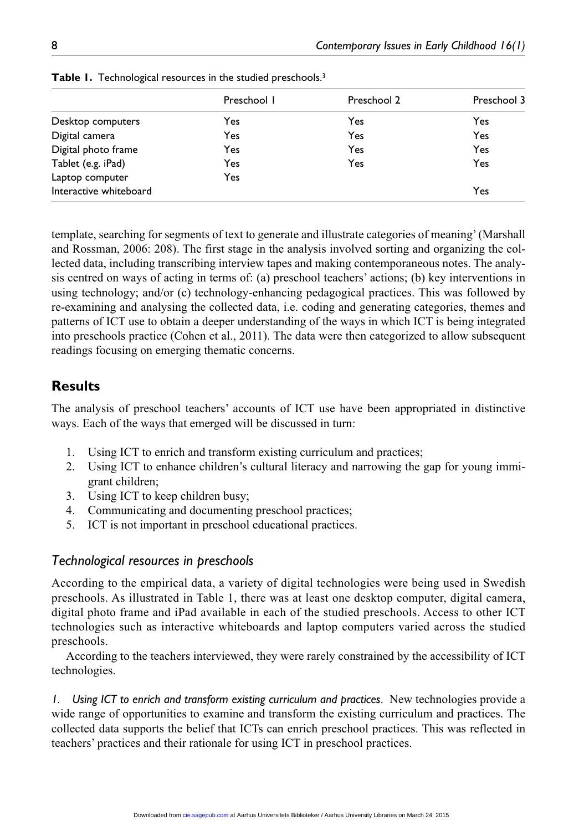|                        | Preschool I | Preschool 2 | Preschool 3 |
|------------------------|-------------|-------------|-------------|
| Desktop computers      | Yes         | Yes         | Yes         |
| Digital camera         | Yes         | Yes         | Yes         |
| Digital photo frame    | Yes         | Yes         | Yes         |
| Tablet (e.g. iPad)     | Yes         | Yes         | <b>Yes</b>  |
| Laptop computer        | Yes         |             |             |
| Interactive whiteboard |             |             | Yes         |

**Table 1.** Technological resources in the studied preschools.<sup>3</sup>

template, searching for segments of text to generate and illustrate categories of meaning' (Marshall and Rossman, 2006: 208). The first stage in the analysis involved sorting and organizing the collected data, including transcribing interview tapes and making contemporaneous notes. The analysis centred on ways of acting in terms of: (a) preschool teachers' actions; (b) key interventions in using technology; and/or (c) technology-enhancing pedagogical practices. This was followed by re-examining and analysing the collected data, i.e. coding and generating categories, themes and patterns of ICT use to obtain a deeper understanding of the ways in which ICT is being integrated into preschools practice (Cohen et al., 2011). The data were then categorized to allow subsequent readings focusing on emerging thematic concerns.

# **Results**

The analysis of preschool teachers' accounts of ICT use have been appropriated in distinctive ways. Each of the ways that emerged will be discussed in turn:

- 1. Using ICT to enrich and transform existing curriculum and practices;
- 2. Using ICT to enhance children's cultural literacy and narrowing the gap for young immigrant children;
- 3. Using ICT to keep children busy;
- 4. Communicating and documenting preschool practices;
- 5. ICT is not important in preschool educational practices.

# *Technological resources in preschools*

According to the empirical data, a variety of digital technologies were being used in Swedish preschools. As illustrated in Table 1, there was at least one desktop computer, digital camera, digital photo frame and iPad available in each of the studied preschools. Access to other ICT technologies such as interactive whiteboards and laptop computers varied across the studied preschools.

According to the teachers interviewed, they were rarely constrained by the accessibility of ICT technologies.

*1. Using ICT to enrich and transform existing curriculum and practices*. New technologies provide a wide range of opportunities to examine and transform the existing curriculum and practices. The collected data supports the belief that ICTs can enrich preschool practices. This was reflected in teachers' practices and their rationale for using ICT in preschool practices.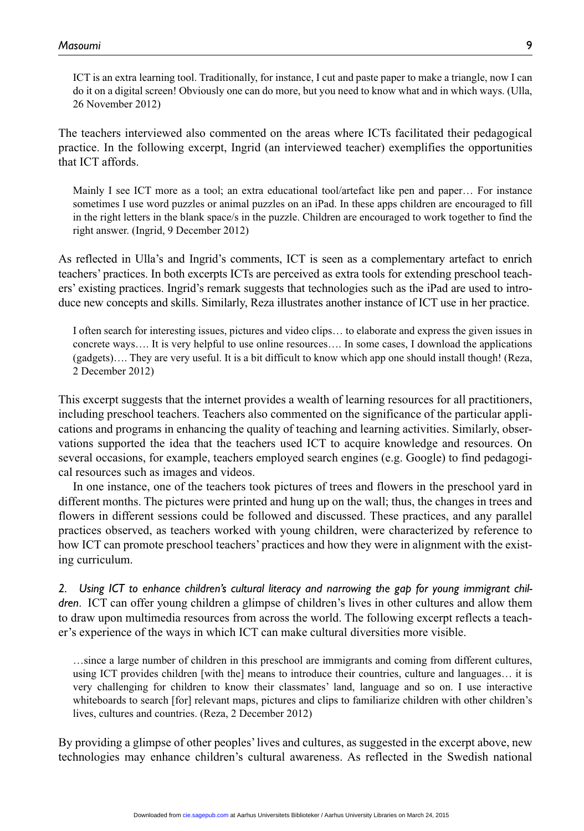ICT is an extra learning tool. Traditionally, for instance, I cut and paste paper to make a triangle, now I can do it on a digital screen! Obviously one can do more, but you need to know what and in which ways. (Ulla, 26 November 2012)

The teachers interviewed also commented on the areas where ICTs facilitated their pedagogical practice. In the following excerpt, Ingrid (an interviewed teacher) exemplifies the opportunities that ICT affords.

Mainly I see ICT more as a tool; an extra educational tool/artefact like pen and paper… For instance sometimes I use word puzzles or animal puzzles on an iPad. In these apps children are encouraged to fill in the right letters in the blank space/s in the puzzle. Children are encouraged to work together to find the right answer. (Ingrid, 9 December 2012)

As reflected in Ulla's and Ingrid's comments, ICT is seen as a complementary artefact to enrich teachers' practices. In both excerpts ICTs are perceived as extra tools for extending preschool teachers' existing practices. Ingrid's remark suggests that technologies such as the iPad are used to introduce new concepts and skills. Similarly, Reza illustrates another instance of ICT use in her practice.

I often search for interesting issues, pictures and video clips… to elaborate and express the given issues in concrete ways…. It is very helpful to use online resources…. In some cases, I download the applications (gadgets)…. They are very useful. It is a bit difficult to know which app one should install though! (Reza, 2 December 2012)

This excerpt suggests that the internet provides a wealth of learning resources for all practitioners, including preschool teachers. Teachers also commented on the significance of the particular applications and programs in enhancing the quality of teaching and learning activities. Similarly, observations supported the idea that the teachers used ICT to acquire knowledge and resources. On several occasions, for example, teachers employed search engines (e.g. Google) to find pedagogical resources such as images and videos.

In one instance, one of the teachers took pictures of trees and flowers in the preschool yard in different months. The pictures were printed and hung up on the wall; thus, the changes in trees and flowers in different sessions could be followed and discussed. These practices, and any parallel practices observed, as teachers worked with young children, were characterized by reference to how ICT can promote preschool teachers' practices and how they were in alignment with the existing curriculum.

*2. Using ICT to enhance children's cultural literacy and narrowing the gap for young immigrant children*. ICT can offer young children a glimpse of children's lives in other cultures and allow them to draw upon multimedia resources from across the world. The following excerpt reflects a teacher's experience of the ways in which ICT can make cultural diversities more visible.

…since a large number of children in this preschool are immigrants and coming from different cultures, using ICT provides children [with the] means to introduce their countries, culture and languages… it is very challenging for children to know their classmates' land, language and so on. I use interactive whiteboards to search [for] relevant maps, pictures and clips to familiarize children with other children's lives, cultures and countries. (Reza, 2 December 2012)

By providing a glimpse of other peoples' lives and cultures, as suggested in the excerpt above, new technologies may enhance children's cultural awareness. As reflected in the Swedish national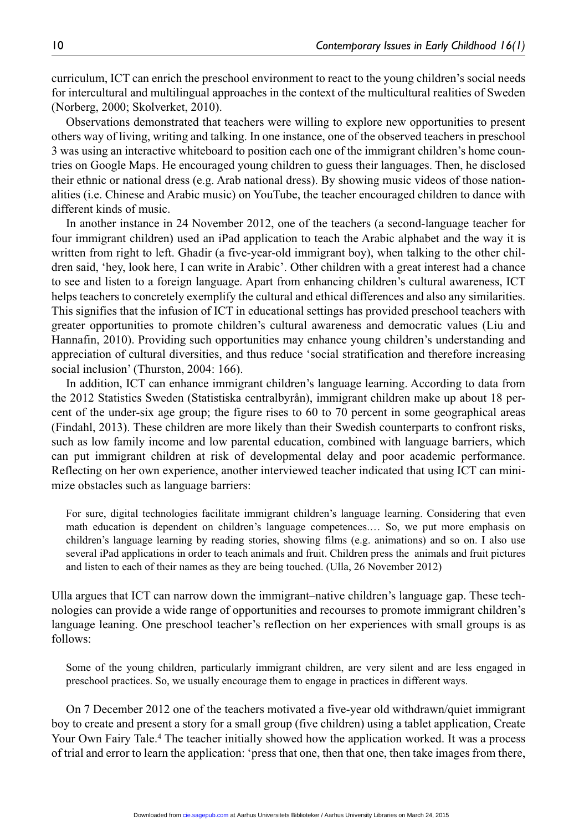curriculum, ICT can enrich the preschool environment to react to the young children's social needs for intercultural and multilingual approaches in the context of the multicultural realities of Sweden (Norberg, 2000; Skolverket, 2010).

Observations demonstrated that teachers were willing to explore new opportunities to present others way of living, writing and talking. In one instance, one of the observed teachers in preschool 3 was using an interactive whiteboard to position each one of the immigrant children's home countries on Google Maps. He encouraged young children to guess their languages. Then, he disclosed their ethnic or national dress (e.g. Arab national dress). By showing music videos of those nationalities (i.e. Chinese and Arabic music) on YouTube, the teacher encouraged children to dance with different kinds of music.

In another instance in 24 November 2012, one of the teachers (a second-language teacher for four immigrant children) used an iPad application to teach the Arabic alphabet and the way it is written from right to left. Ghadir (a five-year-old immigrant boy), when talking to the other children said, 'hey, look here, I can write in Arabic'. Other children with a great interest had a chance to see and listen to a foreign language. Apart from enhancing children's cultural awareness, ICT helps teachers to concretely exemplify the cultural and ethical differences and also any similarities. This signifies that the infusion of ICT in educational settings has provided preschool teachers with greater opportunities to promote children's cultural awareness and democratic values (Liu and Hannafin, 2010). Providing such opportunities may enhance young children's understanding and appreciation of cultural diversities, and thus reduce 'social stratification and therefore increasing social inclusion' (Thurston, 2004: 166).

In addition, ICT can enhance immigrant children's language learning. According to data from the 2012 Statistics Sweden (Statistiska centralbyrån), immigrant children make up about 18 percent of the under-six age group; the figure rises to 60 to 70 percent in some geographical areas (Findahl, 2013). These children are more likely than their Swedish counterparts to confront risks, such as low family income and low parental education, combined with language barriers, which can put immigrant children at risk of developmental delay and poor academic performance. Reflecting on her own experience, another interviewed teacher indicated that using ICT can minimize obstacles such as language barriers:

For sure, digital technologies facilitate immigrant children's language learning. Considering that even math education is dependent on children's language competences.… So, we put more emphasis on children's language learning by reading stories, showing films (e.g. animations) and so on. I also use several iPad applications in order to teach animals and fruit. Children press the animals and fruit pictures and listen to each of their names as they are being touched. (Ulla, 26 November 2012)

Ulla argues that ICT can narrow down the immigrant–native children's language gap. These technologies can provide a wide range of opportunities and recourses to promote immigrant children's language leaning. One preschool teacher's reflection on her experiences with small groups is as follows:

Some of the young children, particularly immigrant children, are very silent and are less engaged in preschool practices. So, we usually encourage them to engage in practices in different ways.

On 7 December 2012 one of the teachers motivated a five-year old withdrawn/quiet immigrant boy to create and present a story for a small group (five children) using a tablet application, Create Your Own Fairy Tale.<sup>4</sup> The teacher initially showed how the application worked. It was a process of trial and error to learn the application: 'press that one, then that one, then take images from there,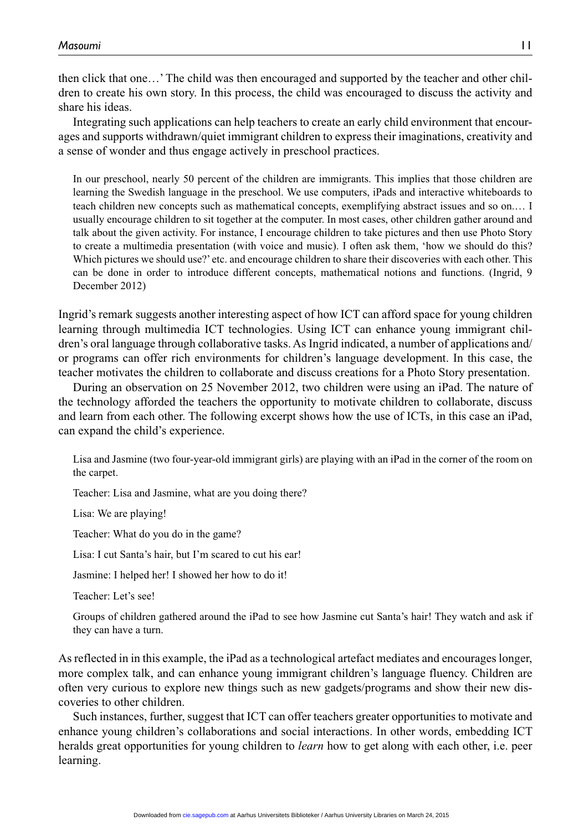then click that one…' The child was then encouraged and supported by the teacher and other children to create his own story. In this process, the child was encouraged to discuss the activity and share his ideas.

Integrating such applications can help teachers to create an early child environment that encourages and supports withdrawn/quiet immigrant children to express their imaginations, creativity and a sense of wonder and thus engage actively in preschool practices.

In our preschool, nearly 50 percent of the children are immigrants. This implies that those children are learning the Swedish language in the preschool. We use computers, iPads and interactive whiteboards to teach children new concepts such as mathematical concepts, exemplifying abstract issues and so on.… I usually encourage children to sit together at the computer. In most cases, other children gather around and talk about the given activity. For instance, I encourage children to take pictures and then use Photo Story to create a multimedia presentation (with voice and music). I often ask them, 'how we should do this? Which pictures we should use?' etc. and encourage children to share their discoveries with each other. This can be done in order to introduce different concepts, mathematical notions and functions. (Ingrid, 9 December 2012)

Ingrid's remark suggests another interesting aspect of how ICT can afford space for young children learning through multimedia ICT technologies. Using ICT can enhance young immigrant children's oral language through collaborative tasks. As Ingrid indicated, a number of applications and/ or programs can offer rich environments for children's language development. In this case, the teacher motivates the children to collaborate and discuss creations for a Photo Story presentation.

During an observation on 25 November 2012, two children were using an iPad. The nature of the technology afforded the teachers the opportunity to motivate children to collaborate, discuss and learn from each other. The following excerpt shows how the use of ICTs, in this case an iPad, can expand the child's experience.

Lisa and Jasmine (two four-year-old immigrant girls) are playing with an iPad in the corner of the room on the carpet.

Teacher: Lisa and Jasmine, what are you doing there?

Lisa: We are playing!

Teacher: What do you do in the game?

Lisa: I cut Santa's hair, but I'm scared to cut his ear!

Jasmine: I helped her! I showed her how to do it!

Teacher: Let's see!

Groups of children gathered around the iPad to see how Jasmine cut Santa's hair! They watch and ask if they can have a turn.

As reflected in in this example, the iPad as a technological artefact mediates and encourages longer, more complex talk, and can enhance young immigrant children's language fluency. Children are often very curious to explore new things such as new gadgets/programs and show their new discoveries to other children.

Such instances, further, suggest that ICT can offer teachers greater opportunities to motivate and enhance young children's collaborations and social interactions. In other words, embedding ICT heralds great opportunities for young children to *learn* how to get along with each other, i.e. peer learning.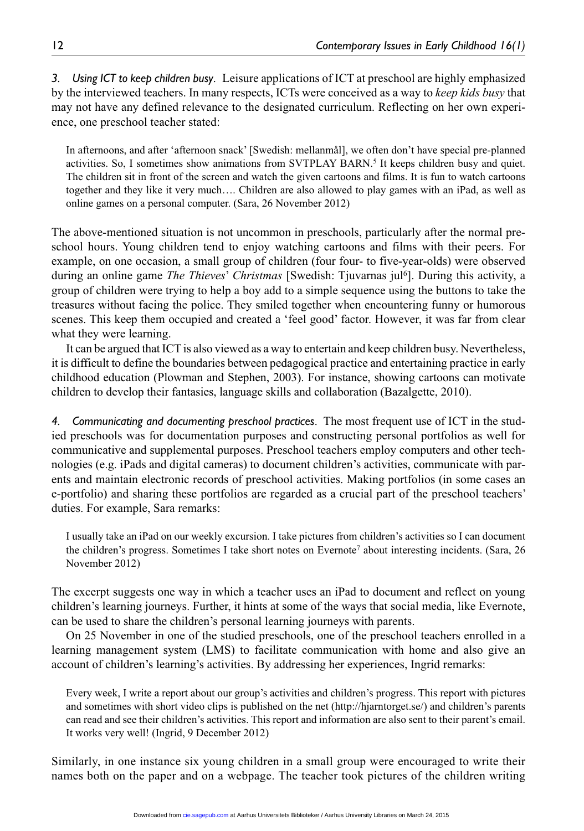*3. Using ICT to keep children busy*. Leisure applications of ICT at preschool are highly emphasized by the interviewed teachers. In many respects, ICTs were conceived as a way to *keep kids busy* that may not have any defined relevance to the designated curriculum. Reflecting on her own experience, one preschool teacher stated:

In afternoons, and after 'afternoon snack' [Swedish: mellanmål], we often don't have special pre-planned activities. So, I sometimes show animations from SVTPLAY BARN.<sup>5</sup> It keeps children busy and quiet. The children sit in front of the screen and watch the given cartoons and films. It is fun to watch cartoons together and they like it very much…. Children are also allowed to play games with an iPad, as well as online games on a personal computer. (Sara, 26 November 2012)

The above-mentioned situation is not uncommon in preschools, particularly after the normal preschool hours. Young children tend to enjoy watching cartoons and films with their peers. For example, on one occasion, a small group of children (four four- to five-year-olds) were observed during an online game *The Thieves' Christmas* [Swedish: Tjuvarnas jul<sup>6</sup>]. During this activity, a group of children were trying to help a boy add to a simple sequence using the buttons to take the treasures without facing the police. They smiled together when encountering funny or humorous scenes. This keep them occupied and created a 'feel good' factor. However, it was far from clear what they were learning.

It can be argued that ICT is also viewed as a way to entertain and keep children busy. Nevertheless, it is difficult to define the boundaries between pedagogical practice and entertaining practice in early childhood education (Plowman and Stephen, 2003). For instance, showing cartoons can motivate children to develop their fantasies, language skills and collaboration (Bazalgette, 2010).

*4. Communicating and documenting preschool practices*. The most frequent use of ICT in the studied preschools was for documentation purposes and constructing personal portfolios as well for communicative and supplemental purposes. Preschool teachers employ computers and other technologies (e.g. iPads and digital cameras) to document children's activities, communicate with parents and maintain electronic records of preschool activities. Making portfolios (in some cases an e-portfolio) and sharing these portfolios are regarded as a crucial part of the preschool teachers' duties. For example, Sara remarks:

I usually take an iPad on our weekly excursion. I take pictures from children's activities so I can document the children's progress. Sometimes I take short notes on Evernote7 about interesting incidents. (Sara, 26 November 2012)

The excerpt suggests one way in which a teacher uses an iPad to document and reflect on young children's learning journeys. Further, it hints at some of the ways that social media, like Evernote, can be used to share the children's personal learning journeys with parents.

On 25 November in one of the studied preschools, one of the preschool teachers enrolled in a learning management system (LMS) to facilitate communication with home and also give an account of children's learning's activities. By addressing her experiences, Ingrid remarks:

Every week, I write a report about our group's activities and children's progress. This report with pictures and sometimes with short video clips is published on the net [\(http://hjarntorget.se/\)](http://hjarntorget.se/) and children's parents can read and see their children's activities. This report and information are also sent to their parent's email. It works very well! (Ingrid, 9 December 2012)

Similarly, in one instance six young children in a small group were encouraged to write their names both on the paper and on a webpage. The teacher took pictures of the children writing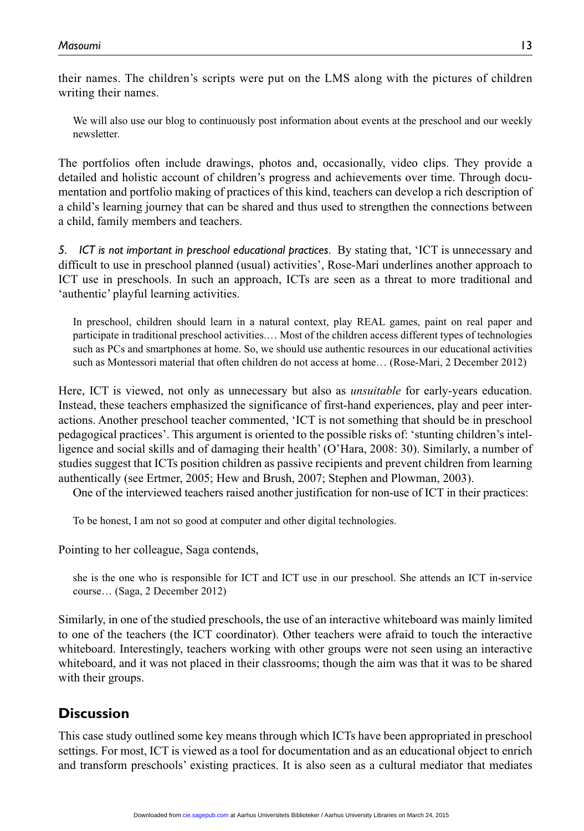their names. The children's scripts were put on the LMS along with the pictures of children writing their names.

We will also use our blog to continuously post information about events at the preschool and our weekly newsletter.

The portfolios often include drawings, photos and, occasionally, video clips. They provide a detailed and holistic account of children's progress and achievements over time. Through documentation and portfolio making of practices of this kind, teachers can develop a rich description of a child's learning journey that can be shared and thus used to strengthen the connections between a child, family members and teachers.

*5. ICT is not important in preschool educational practices*. By stating that, 'ICT is unnecessary and difficult to use in preschool planned (usual) activities', Rose-Mari underlines another approach to ICT use in preschools. In such an approach, ICTs are seen as a threat to more traditional and 'authentic' playful learning activities.

In preschool, children should learn in a natural context, play REAL games, paint on real paper and participate in traditional preschool activities.… Most of the children access different types of technologies such as PCs and smartphones at home. So, we should use authentic resources in our educational activities such as Montessori material that often children do not access at home… (Rose-Mari, 2 December 2012)

Here, ICT is viewed, not only as unnecessary but also as *unsuitable* for early-years education. Instead, these teachers emphasized the significance of first-hand experiences, play and peer interactions. Another preschool teacher commented, 'ICT is not something that should be in preschool pedagogical practices'. This argument is oriented to the possible risks of: 'stunting children's intelligence and social skills and of damaging their health' (O'Hara, 2008: 30). Similarly, a number of studies suggest that ICTs position children as passive recipients and prevent children from learning authentically (see Ertmer, 2005; Hew and Brush, 2007; Stephen and Plowman, 2003).

One of the interviewed teachers raised another justification for non-use of ICT in their practices:

To be honest, I am not so good at computer and other digital technologies.

Pointing to her colleague, Saga contends,

she is the one who is responsible for ICT and ICT use in our preschool. She attends an ICT in-service course… (Saga, 2 December 2012)

Similarly, in one of the studied preschools, the use of an interactive whiteboard was mainly limited to one of the teachers (the ICT coordinator). Other teachers were afraid to touch the interactive whiteboard. Interestingly, teachers working with other groups were not seen using an interactive whiteboard, and it was not placed in their classrooms; though the aim was that it was to be shared with their groups.

# **Discussion**

This case study outlined some key means through which ICTs have been appropriated in preschool settings. For most, ICT is viewed as a tool for documentation and as an educational object to enrich and transform preschools' existing practices. It is also seen as a cultural mediator that mediates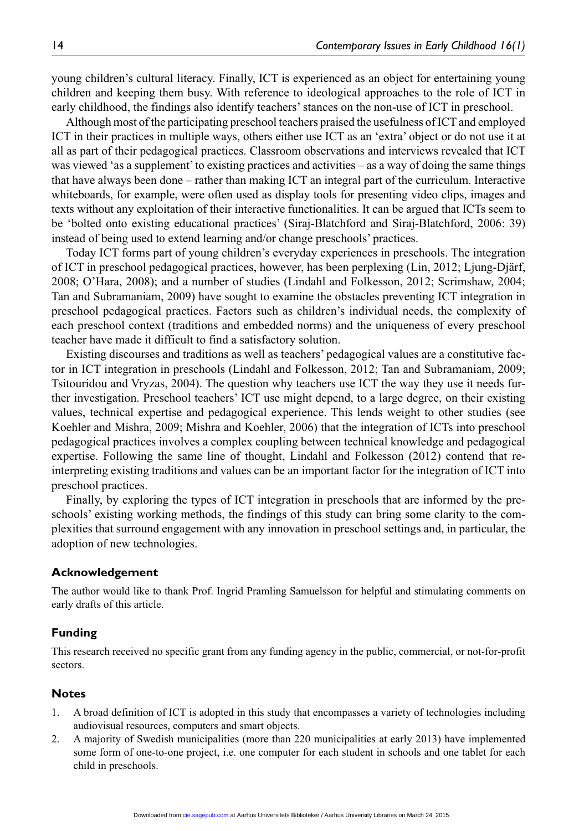young children's cultural literacy. Finally, ICT is experienced as an object for entertaining young children and keeping them busy. With reference to ideological approaches to the role of ICT in early childhood, the findings also identify teachers' stances on the non-use of ICT in preschool.

Although most of the participating preschool teachers praised the usefulness of ICT and employed ICT in their practices in multiple ways, others either use ICT as an 'extra' object or do not use it at all as part of their pedagogical practices. Classroom observations and interviews revealed that ICT was viewed 'as a supplement' to existing practices and activities – as a way of doing the same things that have always been done – rather than making ICT an integral part of the curriculum. Interactive whiteboards, for example, were often used as display tools for presenting video clips, images and texts without any exploitation of their interactive functionalities. It can be argued that ICTs seem to be 'bolted onto existing educational practices' (Siraj-Blatchford and Siraj-Blatchford, 2006: 39) instead of being used to extend learning and/or change preschools' practices.

Today ICT forms part of young children's everyday experiences in preschools. The integration of ICT in preschool pedagogical practices, however, has been perplexing (Lin, 2012; Ljung-Djärf, 2008; O'Hara, 2008); and a number of studies (Lindahl and Folkesson, 2012; Scrimshaw, 2004; Tan and Subramaniam, 2009) have sought to examine the obstacles preventing ICT integration in preschool pedagogical practices. Factors such as children's individual needs, the complexity of each preschool context (traditions and embedded norms) and the uniqueness of every preschool teacher have made it difficult to find a satisfactory solution.

Existing discourses and traditions as well as teachers' pedagogical values are a constitutive factor in ICT integration in preschools (Lindahl and Folkesson, 2012; Tan and Subramaniam, 2009; Tsitouridou and Vryzas, 2004). The question why teachers use ICT the way they use it needs further investigation. Preschool teachers' ICT use might depend, to a large degree, on their existing values, technical expertise and pedagogical experience. This lends weight to other studies (see Koehler and Mishra, 2009; Mishra and Koehler, 2006) that the integration of ICTs into preschool pedagogical practices involves a complex coupling between technical knowledge and pedagogical expertise. Following the same line of thought, Lindahl and Folkesson (2012) contend that reinterpreting existing traditions and values can be an important factor for the integration of ICT into preschool practices.

Finally, by exploring the types of ICT integration in preschools that are informed by the preschools' existing working methods, the findings of this study can bring some clarity to the complexities that surround engagement with any innovation in preschool settings and, in particular, the adoption of new technologies.

### **Acknowledgement**

The author would like to thank Prof. Ingrid Pramling Samuelsson for helpful and stimulating comments on early drafts of this article.

### **Funding**

This research received no specific grant from any funding agency in the public, commercial, or not-for-profit sectors.

#### **Notes**

- 1. A broad definition of ICT is adopted in this study that encompasses a variety of technologies including audiovisual resources, computers and smart objects.
- 2. A majority of Swedish municipalities (more than 220 municipalities at early 2013) have implemented some form of one-to-one project, i.e. one computer for each student in schools and one tablet for each child in preschools.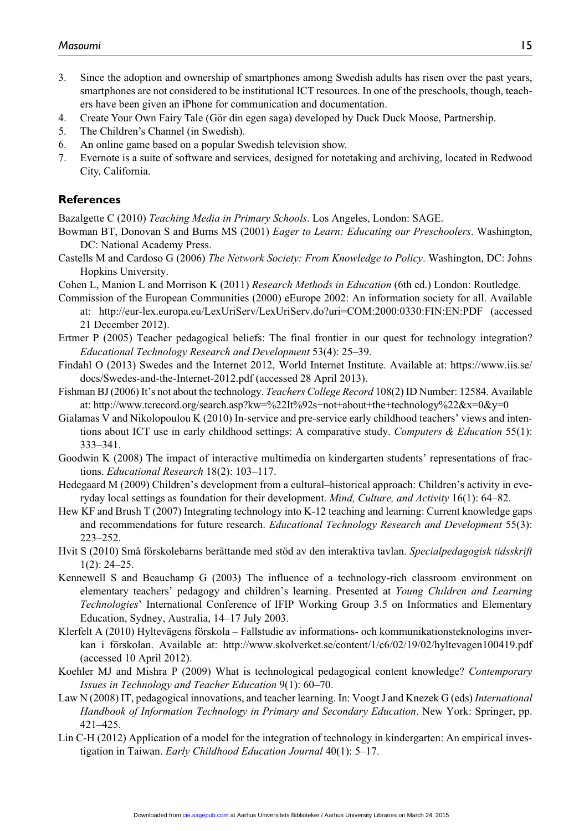- 3. Since the adoption and ownership of smartphones among Swedish adults has risen over the past years, smartphones are not considered to be institutional ICT resources. In one of the preschools, though, teachers have been given an iPhone for communication and documentation.
- 4. Create Your Own Fairy Tale (Gör din egen saga) developed by Duck Duck Moose, Partnership.
- 5. The Children's Channel (in Swedish).
- 6. An online game based on a popular Swedish television show.
- 7. Evernote is a suite of software and services, designed for notetaking and archiving, located in Redwood City, California.

### **References**

Bazalgette C (2010) *Teaching Media in Primary Schools*. Los Angeles, London: SAGE.

- Bowman BT, Donovan S and Burns MS (2001) *Eager to Learn: Educating our Preschoolers*. Washington, DC: National Academy Press.
- Castells M and Cardoso G (2006) *The Network Society: From Knowledge to Policy*. Washington, DC: Johns Hopkins University.
- Cohen L, Manion L and Morrison K (2011) *Research Methods in Education* (6th ed.) London: Routledge.

Commission of the European Communities (2000) eEurope 2002: An information society for all. Available at: <http://eur-lex.europa.eu/LexUriServ/LexUriServ.do?uri=COM:2000:0330:FIN:EN:PDF> (accessed

- 21 December 2012).
- Ertmer P (2005) Teacher pedagogical beliefs: The final frontier in our quest for technology integration? *Educational Technology Research and Development* 53(4): 25–39.
- Findahl O (2013) Swedes and the Internet 2012, World Internet Institute. Available at: https://www.iis.se/ docs/Swedes-and-the-Internet-2012.pdf (accessed 28 April 2013).
- Fishman BJ (2006) It's not about the technology. *Teachers College Record* 108(2) ID Number: 12584. Available at:<http://www.tcrecord.org/search.asp?kw=%22It%92s+not+about+the+technology%22&x=0&y=0>
- Gialamas V and Nikolopoulou K (2010) In-service and pre-service early childhood teachers' views and intentions about ICT use in early childhood settings: A comparative study. *Computers & Education* 55(1): 333–341.
- Goodwin K (2008) The impact of interactive multimedia on kindergarten students' representations of fractions. *Educational Research* 18(2): 103–117.
- Hedegaard M (2009) Children's development from a cultural–historical approach: Children's activity in everyday local settings as foundation for their development. *Mind, Culture, and Activity* 16(1): 64–82.
- Hew KF and Brush T (2007) Integrating technology into K-12 teaching and learning: Current knowledge gaps and recommendations for future research. *Educational Technology Research and Development* 55(3): 223–252.
- Hvit S (2010) Små förskolebarns berättande med stöd av den interaktiva tavlan. *Specialpedagogisk tidsskrift* 1(2): 24–25.
- Kennewell S and Beauchamp G (2003) The influence of a technology-rich classroom environment on elementary teachers' pedagogy and children's learning. Presented at *Young Children and Learning Technologies*' International Conference of IFIP Working Group 3.5 on Informatics and Elementary Education, Sydney, Australia, 14–17 July 2003.
- Klerfelt A (2010) Hyltevägens förskola Fallstudie av informations- och kommunikationsteknologins inverkan i förskolan. Available at: http://www.skolverket.se/content/1/c6/02/19/02/hyltevagen100419.pdf (accessed 10 April 2012).
- Koehler MJ and Mishra P (2009) What is technological pedagogical content knowledge? *Contemporary Issues in Technology and Teacher Education* 9(1): 60–70.
- Law N (2008) IT, pedagogical innovations, and teacher learning. In: Voogt J and Knezek G (eds) *International Handbook of Information Technology in Primary and Secondary Education*. New York: Springer, pp. 421–425.
- Lin C-H (2012) Application of a model for the integration of technology in kindergarten: An empirical investigation in Taiwan. *Early Childhood Education Journal* 40(1): 5–17.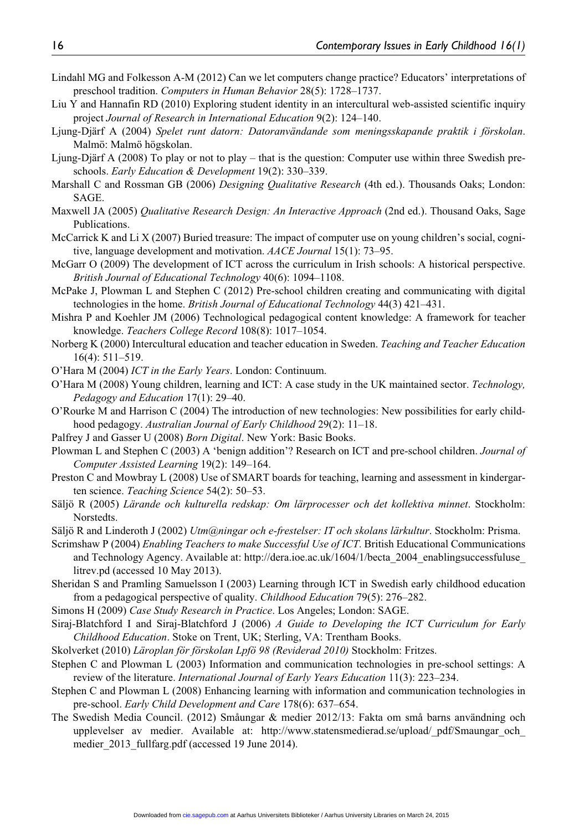- Lindahl MG and Folkesson A-M (2012) Can we let computers change practice? Educators' interpretations of preschool tradition. *Computers in Human Behavior* 28(5): 1728–1737.
- Liu Y and Hannafin RD (2010) Exploring student identity in an intercultural web-assisted scientific inquiry project *Journal of Research in International Education* 9(2): 124–140.
- Ljung-Djärf A (2004) *Spelet runt datorn: Datoranvändande som meningsskapande praktik i förskolan*. Malmö: Malmö högskolan.
- Ljung-Djärf A (2008) To play or not to play that is the question: Computer use within three Swedish preschools. *Early Education & Development* 19(2): 330–339.
- Marshall C and Rossman GB (2006) *Designing Qualitative Research* (4th ed.). Thousands Oaks; London: SAGE.
- Maxwell JA (2005) *Qualitative Research Design: An Interactive Approach* (2nd ed.). Thousand Oaks, Sage Publications.
- McCarrick K and Li X (2007) Buried treasure: The impact of computer use on young children's social, cognitive, language development and motivation. *AACE Journal* 15(1): 73–95.
- McGarr O (2009) The development of ICT across the curriculum in Irish schools: A historical perspective. *British Journal of Educational Technology* 40(6): 1094–1108.
- McPake J, Plowman L and Stephen C (2012) Pre-school children creating and communicating with digital technologies in the home. *British Journal of Educational Technology* 44(3) 421–431.
- Mishra P and Koehler JM (2006) Technological pedagogical content knowledge: A framework for teacher knowledge. *Teachers College Record* 108(8): 1017–1054.
- Norberg K (2000) Intercultural education and teacher education in Sweden. *Teaching and Teacher Education* 16(4): 511–519.
- O'Hara M (2004) *ICT in the Early Years*. London: Continuum.
- O'Hara M (2008) Young children, learning and ICT: A case study in the UK maintained sector. *Technology, Pedagogy and Education* 17(1): 29–40.
- O'Rourke M and Harrison C (2004) The introduction of new technologies: New possibilities for early childhood pedagogy. *Australian Journal of Early Childhood* 29(2): 11–18.
- Palfrey J and Gasser U (2008) *Born Digital*. New York: Basic Books.
- Plowman L and Stephen C (2003) A 'benign addition'? Research on ICT and pre-school children. *Journal of Computer Assisted Learning* 19(2): 149–164.
- Preston C and Mowbray L (2008) Use of SMART boards for teaching, learning and assessment in kindergarten science. *Teaching Science* 54(2): 50–53.
- Säljö R (2005) *Lärande och kulturella redskap: Om lärprocesser och det kollektiva minnet*. Stockholm: Norstedts.
- Säljö R and Linderoth J (2002) *Utm@ningar och e-frestelser: IT och skolans lärkultur*. Stockholm: Prisma.
- Scrimshaw P (2004) *Enabling Teachers to make Successful Use of ICT*. British Educational Communications and Technology Agency. Available at: [http://dera.ioe.ac.uk/1604/1/becta\\_2004\\_enablingsuccessfuluse\\_](http://dera.ioe.ac.uk/1604/1/becta_2004_enablingsuccessfuluse_litrev.pd) [litrev.pd](http://dera.ioe.ac.uk/1604/1/becta_2004_enablingsuccessfuluse_litrev.pd) (accessed 10 May 2013).
- Sheridan S and Pramling Samuelsson I (2003) Learning through ICT in Swedish early childhood education from a pedagogical perspective of quality. *Childhood Education* 79(5): 276–282.
- Simons H (2009) *Case Study Research in Practice*. Los Angeles; London: SAGE.
- Siraj-Blatchford I and Siraj-Blatchford J (2006) *A Guide to Developing the ICT Curriculum for Early Childhood Education*. Stoke on Trent, UK; Sterling, VA: Trentham Books.
- Skolverket (2010) *Läroplan för förskolan Lpfö 98 (Reviderad 2010)* Stockholm: Fritzes.
- Stephen C and Plowman L (2003) Information and communication technologies in pre-school settings: A review of the literature. *International Journal of Early Years Education* 11(3): 223–234.
- Stephen C and Plowman L (2008) Enhancing learning with information and communication technologies in pre-school. *Early Child Development and Care* 178(6): 637–654.
- The Swedish Media Council. (2012) Småungar & medier 2012/13: Fakta om små barns användning och upplevelser av medier. Available at: http://www.statensmedierad.se/upload/ pdf/Smaungar och medier 2013 fullfarg.pdf (accessed 19 June 2014).